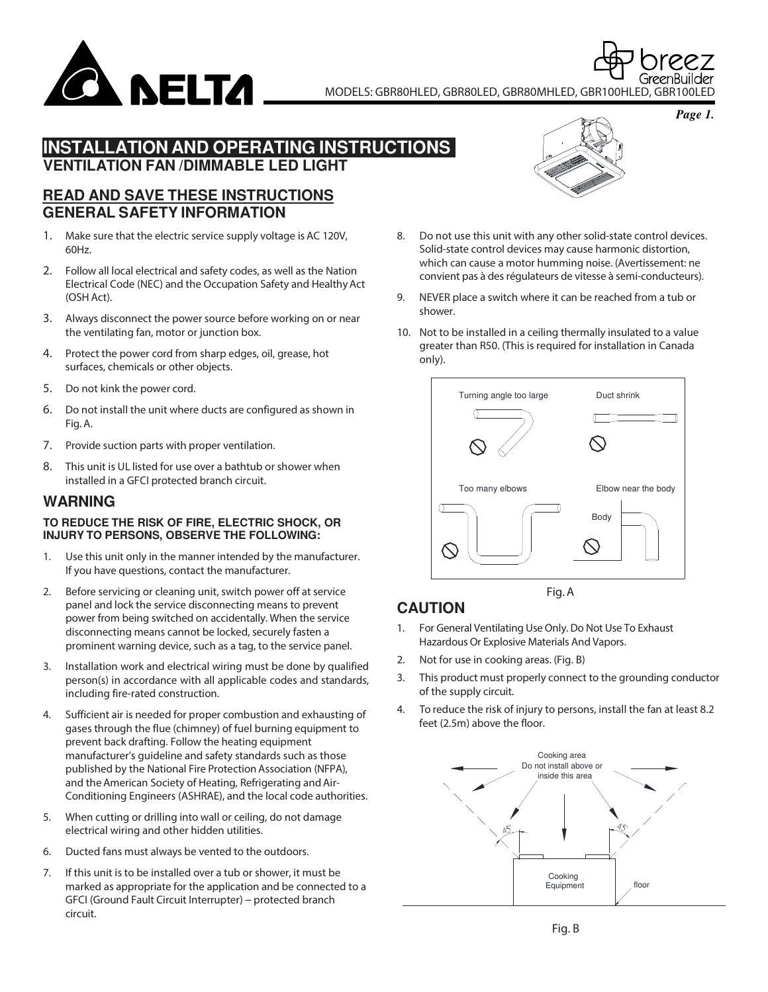

MODELS: GBR80HLED, GBR80LED, GBR80MHLED, GBR100HLED, GBR100LED

*Page 1.*

## **INSTALLATION AND OPERATING INSTRUCTIONS VENTILATION FAN /DIMMABLE LED LIGHT**

### **READ AND SAVE THESE INSTRUCTIONS GENERAL SAFETY INFORMATION**

- 1. Make sure that the electric service supply voltage is AC 120V, 60Hz.
- 2. Follow all local electrical and safety codes, as well as the Nation Electrical Code (NEC) and the Occupation Safety and Healthy Act (OSH Act).
- 3. Always disconnect the power source before working on or near the ventilating fan, motor or junction box.
- 4. Protect the power cord from sharp edges, oil, grease, hot surfaces, chemicals or other objects.
- 5. Do not kink the power cord.
- 6. Do not install the unit where ducts are configured as shown in Fig. A.
- 7. Provide suction parts with proper ventilation.
- 8. This unit is UL listed for use over a bathtub or shower when installed in a GFCI protected branch circuit.

## **WARNING**

#### **TO REDUCE THE RISK OF FIRE, ELECTRIC SHOCK, OR INJURY TO PERSONS, OBSERVE THE FOLLOWING:**

- 1. Use this unit only in the manner intended by the manufacturer. If you have questions, contact the manufacturer.
- 2. Before servicing or cleaning unit, switch power off at service panel and lock the service disconnecting means to prevent power from being switched on accidentally. When the service disconnecting means cannot be locked, securely fasten a prominent warning device, such as a tag, to the service panel.
- 3. Installation work and electrical wiring must be done by qualified person(s) in accordance with all applicable codes and standards, including fire-rated construction.
- 4. Sufficient air is needed for proper combustion and exhausting of gases through the flue (chimney) of fuel burning equipment to prevent back drafting. Follow the heating equipment manufacturer's guideline and safety standards such as those published by the National Fire Protection Association (NFPA), and the American Society of Heating, Refrigerating and Air-Conditioning Engineers (ASHRAE), and the local code authorities.
- 5. When cutting or drilling into wall or ceiling, do not damage electrical wiring and other hidden utilities.
- 6. Ducted fans must always be vented to the outdoors.
- 7. If this unit is to be installed over a tub or shower, it must be marked as appropriate for the application and be connected to a GFCI (Ground Fault Circuit Interrupter) - protected branch circuit.



- 8. Do not use this unit with any other solid-state control devices. Solid-state control devices may cause harmonic distortion, which can cause a motor humming noise. (Avertissement: ne convient pas à des régulateurs de vitesse à semi-conducteurs).
- 9. NEVER place a switch where it can be reached from a tub or shower.
- 10. Not to be installed in a ceiling thermally insulated to a value greater than R50. (This is required for installation in Canada only).



# **CAUTION**

- 1. For General Ventilating Use Only. Do Not Use To Exhaust Hazardous Or Explosive Materials And Vapors.
- 2. Not for use in cooking areas. (Fig. B)
- 3. This product must properly connect to the grounding conductor of the supply circuit.
- 4. To reduce the risk of injury to persons, install the fan at least 8.2 feet (2.5m) above the floor.

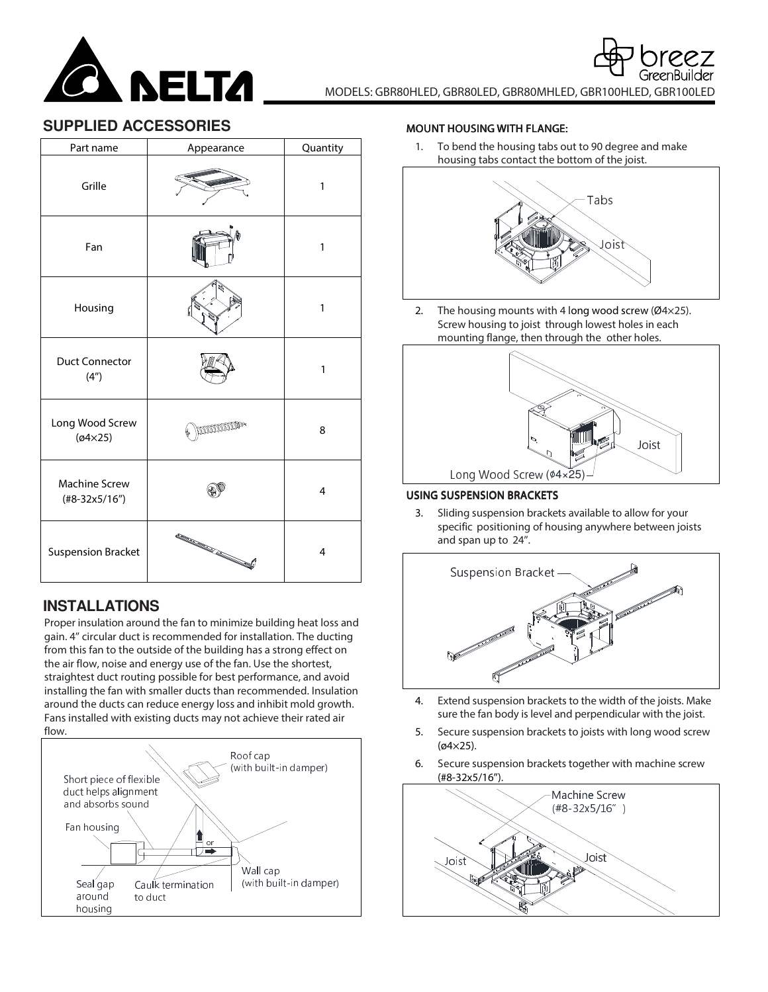

## **SUPPLIED ACCESSORIES**

| Part name                         | Appearance                                                                                                                                                                                                                     | Quantity       |
|-----------------------------------|--------------------------------------------------------------------------------------------------------------------------------------------------------------------------------------------------------------------------------|----------------|
| Grille                            |                                                                                                                                                                                                                                | 1              |
| Fan                               |                                                                                                                                                                                                                                | 1              |
| Housing                           |                                                                                                                                                                                                                                | 1              |
| <b>Duct Connector</b><br>(4")     |                                                                                                                                                                                                                                | 1              |
| Long Wood Screw<br>$(04\times25)$ | promoto                                                                                                                                                                                                                        | 8              |
| Machine Screw<br>$(\#8-32x5/16")$ |                                                                                                                                                                                                                                | 4              |
| <b>Suspension Bracket</b>         | and the contract of the contract of the contract of the contract of the contract of the contract of the contract of the contract of the contract of the contract of the contract of the contract of the contract of the contra | $\overline{4}$ |

# **INSTALLATIONS**

Proper insulation around the fan to minimize building heat loss and gain. 4'' circular duct is recommended for installation. The ducting from this fan to the outside of the building has a strong effect on the air flow, noise and energy use of the fan. Use the shortest, straightest duct routing possible for best performance, and avoid installing the fan with smaller ducts than recommended. Insulation around the ducts can reduce energy loss and inhibit mold growth. Fans installed with existing ducts may not achieve their rated air flow.



#### **MOUNT HOUSING WITH FLANGE:**

1. To bend the housing tabs out to 90 degree and make housing tabs contact the bottom of the joist.



2. The housing mounts with 4 long wood screw (Ø4×25). Screw housing to joist through lowest holes in each mounting flange, then through the other holes.



### USING SUSPENSION BRACKETS

3. Sliding suspension brackets available to allow for your specific positioning of housing anywhere between joists and span up to 24''.



- 4. Extend suspension brackets to the width of the joists. Make sure the fan body is level and perpendicular with the joist.
- 5. Secure suspension brackets to joists with long wood screw (ø4×25).
- 6. Secure suspension brackets together with machine screw (#8-32x5/16'').